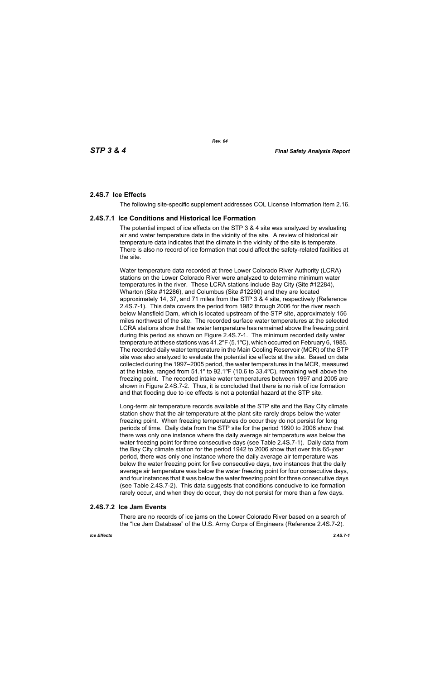# **2.4S.7 Ice Effects**

The following site-specific supplement addresses COL License Information Item 2.16.

## **2.4S.7.1 Ice Conditions and Historical Ice Formation**

The potential impact of ice effects on the STP 3 & 4 site was analyzed by evaluating air and water temperature data in the vicinity of the site. A review of historical air temperature data indicates that the climate in the vicinity of the site is temperate. There is also no record of ice formation that could affect the safety-related facilities at the site.

Water temperature data recorded at three Lower Colorado River Authority (LCRA) stations on the Lower Colorado River were analyzed to determine minimum water temperatures in the river. These LCRA stations include Bay City (Site #12284), Wharton (Site #12286), and Columbus (Site #12290) and they are located approximately 14, 37, and 71 miles from the STP 3 & 4 site, respectively (Reference 2.4S.7-1). This data covers the period from 1982 through 2006 for the river reach below Mansfield Dam, which is located upstream of the STP site, approximately 156 miles northwest of the site. The recorded surface water temperatures at the selected LCRA stations show that the water temperature has remained above the freezing point during this period as shown on Figure 2.4S.7-1. The minimum recorded daily water temperature at these stations was 41.2ºF (5.1ºC), which occurred on February 6, 1985. The recorded daily water temperature in the Main Cooling Reservoir (MCR) of the STP site was also analyzed to evaluate the potential ice effects at the site. Based on data collected during the 1997–2005 period, the water temperatures in the MCR, measured at the intake, ranged from  $51.1^{\circ}$  to  $92.1^{\circ}F$  (10.6 to  $33.4^{\circ}C$ ), remaining well above the freezing point. The recorded intake water temperatures between 1997 and 2005 are shown in Figure 2.4S.7-2. Thus, it is concluded that there is no risk of ice formation and that flooding due to ice effects is not a potential hazard at the STP site.

Long-term air temperature records available at the STP site and the Bay City climate station show that the air temperature at the plant site rarely drops below the water freezing point. When freezing temperatures do occur they do not persist for long periods of time. Daily data from the STP site for the period 1990 to 2006 show that there was only one instance where the daily average air temperature was below the water freezing point for three consecutive days (see Table 2.4S.7-1). Daily data from the Bay City climate station for the period 1942 to 2006 show that over this 65-year period, there was only one instance where the daily average air temperature was below the water freezing point for five consecutive days, two instances that the daily average air temperature was below the water freezing point for four consecutive days, and four instances that it was below the water freezing point for three consecutive days (see Table 2.4S.7-2). This data suggests that conditions conducive to ice formation rarely occur, and when they do occur, they do not persist for more than a few days.

## **2.4S.7.2 Ice Jam Events**

There are no records of ice jams on the Lower Colorado River based on a search of the "Ice Jam Database" of the U.S. Army Corps of Engineers (Reference 2.4S.7-2).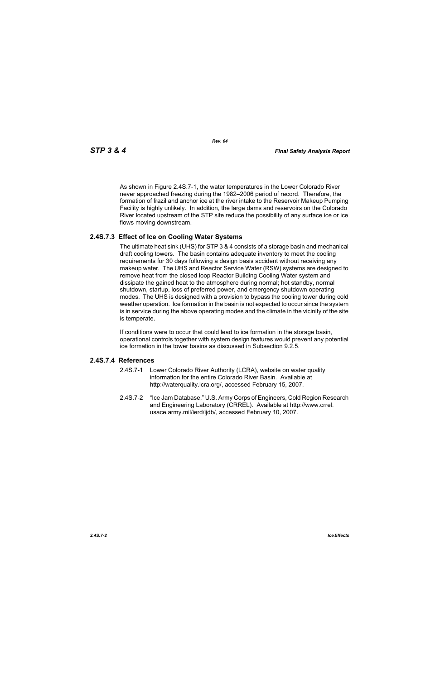As shown in Figure 2.4S.7-1, the water temperatures in the Lower Colorado River never approached freezing during the 1982–2006 period of record. Therefore, the formation of frazil and anchor ice at the river intake to the Reservoir Makeup Pumping Facility is highly unlikely. In addition, the large dams and reservoirs on the Colorado River located upstream of the STP site reduce the possibility of any surface ice or ice flows moving downstream.

## **2.4S.7.3 Effect of Ice on Cooling Water Systems**

The ultimate heat sink (UHS) for STP 3 & 4 consists of a storage basin and mechanical draft cooling towers. The basin contains adequate inventory to meet the cooling requirements for 30 days following a design basis accident without receiving any makeup water. The UHS and Reactor Service Water (RSW) systems are designed to remove heat from the closed loop Reactor Building Cooling Water system and dissipate the gained heat to the atmosphere during normal; hot standby, normal shutdown, startup, loss of preferred power, and emergency shutdown operating modes. The UHS is designed with a provision to bypass the cooling tower during cold weather operation. Ice formation in the basin is not expected to occur since the system is in service during the above operating modes and the climate in the vicinity of the site is temperate.

If conditions were to occur that could lead to ice formation in the storage basin, operational controls together with system design features would prevent any potential ice formation in the tower basins as discussed in Subsection 9.2.5.

#### **2.4S.7.4 References**

- 2.4S.7-1 Lower Colorado River Authority (LCRA), website on water quality information for the entire Colorado River Basin. Available at http://waterquality.lcra.org/, accessed February 15, 2007.
- 2.4S.7-2 "Ice Jam Database," U.S. Army Corps of Engineers, Cold Region Research and Engineering Laboratory (CRREL). Available at http://www.crrel. usace.army.mil/ierd/ijdb/, accessed February 10, 2007.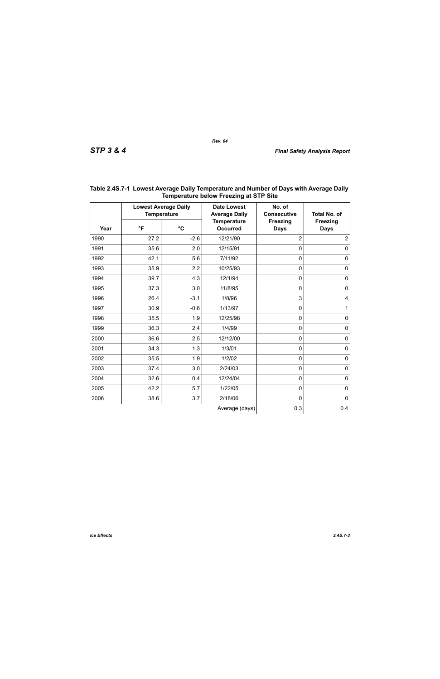| Year | <b>Lowest Average Daily</b><br><b>Temperature</b> |                 | <b>Date Lowest</b><br><b>Average Daily</b> | No. of<br><b>Consecutive</b>   | <b>Total No. of</b>            |
|------|---------------------------------------------------|-----------------|--------------------------------------------|--------------------------------|--------------------------------|
|      | $\mathsf{P}$                                      | $\rm ^{\circ}C$ | <b>Temperature</b><br><b>Occurred</b>      | <b>Freezing</b><br><b>Days</b> | <b>Freezing</b><br><b>Days</b> |
| 1990 | 27.2                                              | $-2.6$          | 12/21/90                                   | $\overline{2}$                 | $\overline{2}$                 |
| 1991 | 35.6                                              | 2.0             | 12/15/91                                   | $\mathbf 0$                    | 0                              |
| 1992 | 42.1                                              | 5.6             | 7/11/92                                    | $\mathbf 0$                    | $\pmb{0}$                      |
| 1993 | 35.9                                              | 2.2             | 10/25/93                                   | $\mathbf 0$                    | $\mathbf 0$                    |
| 1994 | 39.7                                              | 4.3             | 12/1/94                                    | $\mathbf 0$                    | $\pmb{0}$                      |
| 1995 | 37.3                                              | 3.0             | 11/8/95                                    | $\mathbf 0$                    | $\pmb{0}$                      |
| 1996 | 26.4                                              | $-3.1$          | 1/8/96                                     | 3                              | 4                              |
| 1997 | 30.9                                              | $-0.6$          | 1/13/97                                    | $\mathbf 0$                    | $\mathbf{1}$                   |
| 1998 | 35.5                                              | 1.9             | 12/25/98                                   | $\mathbf 0$                    | $\pmb{0}$                      |
| 1999 | 36.3                                              | 2.4             | 1/4/99                                     | $\mathbf 0$                    | $\pmb{0}$                      |
| 2000 | 36.6                                              | 2.5             | 12/12/00                                   | $\mathbf 0$                    | $\pmb{0}$                      |
| 2001 | 34.3                                              | 1.3             | 1/3/01                                     | $\mathbf 0$                    | $\pmb{0}$                      |
| 2002 | 35.5                                              | 1.9             | 1/2/02                                     | $\mathbf 0$                    | $\pmb{0}$                      |
| 2003 | 37.4                                              | 3.0             | 2/24/03                                    | $\mathbf 0$                    | $\pmb{0}$                      |
| 2004 | 32.6                                              | 0.4             | 12/24/04                                   | $\mathbf 0$                    | $\pmb{0}$                      |
| 2005 | 42.2                                              | 5.7             | 1/22/05                                    | $\mathbf 0$                    | $\mathbf 0$                    |
| 2006 | 38.6                                              | 3.7             | 2/18/06                                    | $\mathbf 0$                    | $\mathbf 0$                    |
|      |                                                   |                 | Average (days)                             | 0.3                            | 0.4                            |

## **Table 2.4S.7-1 Lowest Average Daily Temperature and Number of Days with Average Daily Temperature below Freezing at STP Site**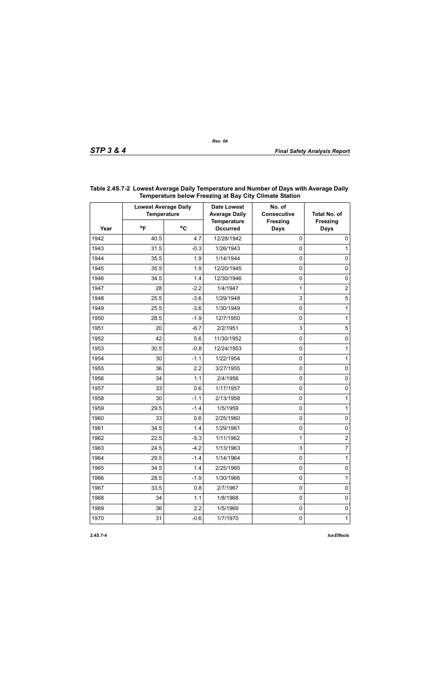| Year | <b>Lowest Average Daily</b><br><b>Temperature</b> |              | <b>Date Lowest</b><br><b>Average Daily</b> | No. of<br><b>Consecutive</b>   | <b>Total No. of</b>            |
|------|---------------------------------------------------|--------------|--------------------------------------------|--------------------------------|--------------------------------|
|      | $^{\circ}$ F                                      | $^{\circ}$ C | <b>Temperature</b><br><b>Occurred</b>      | <b>Freezing</b><br><b>Days</b> | <b>Freezing</b><br><b>Days</b> |
| 1942 | 40.5                                              | 4.7          | 12/28/1942                                 | $\mathbf 0$                    | $\mathbf 0$                    |
| 1943 | 31.5                                              | $-0.3$       | 1/26/1943                                  | 0                              | 1                              |
| 1944 | 35.5                                              | 1.9          | 1/14/1944                                  | 0                              | $\mathbf 0$                    |
| 1945 | 35.5                                              | 1.9          | 12/20/1945                                 | 0                              | $\mathbf 0$                    |
| 1946 | 34.5                                              | 1.4          | 12/30/1946                                 | 0                              | $\mathbf 0$                    |
| 1947 | 28                                                | $-2.2$       | 1/4/1947                                   | 1                              | $\overline{c}$                 |
| 1948 | 25.5                                              | $-3.6$       | 1/29/1948                                  | 3                              | $\sqrt{5}$                     |
| 1949 | 25.5                                              | $-3.6$       | 1/30/1949                                  | 0                              | 1                              |
| 1950 | 28.5                                              | $-1.9$       | 12/7/1950                                  | 0                              | 1                              |
| 1951 | 20                                                | $-6.7$       | 2/2/1951                                   | 3                              | 5                              |
| 1952 | 42                                                | 5.6          | 11/30/1952                                 | 0                              | $\mathbf 0$                    |
| 1953 | 30.5                                              | $-0.8$       | 12/24/1953                                 | 0                              | 1                              |
| 1954 | 30                                                | $-1.1$       | 1/22/1954                                  | 0                              | 1                              |
| 1955 | 36                                                | 2.2          | 3/27/1955                                  | 0                              | $\mathbf 0$                    |
| 1956 | 34                                                | 1.1          | 2/4/1956                                   | 0                              | $\mathbf 0$                    |
| 1957 | 33                                                | 0.6          | 1/17/1957                                  | 0                              | $\mathbf 0$                    |
| 1958 | 30                                                | $-1.1$       | 2/13/1958                                  | 0                              | 1                              |
| 1959 | 29.5                                              | $-1.4$       | 1/5/1959                                   | 0                              | 1                              |
| 1960 | 33                                                | 0.6          | 2/25/1960                                  | 0                              | $\mathbf 0$                    |
| 1961 | 34.5                                              | 1.4          | 1/29/1961                                  | 0                              | $\mathbf 0$                    |
| 1962 | 22.5                                              | $-5.3$       | 1/11/1962                                  | 1                              | $\overline{\mathbf{c}}$        |
| 1963 | 24.5                                              | $-4.2$       | 1/13/1963                                  | 3                              | 7                              |
| 1964 | 29.5                                              | $-1.4$       | 1/14/1964                                  | $\pmb{0}$                      | 1                              |
| 1965 | 34.5                                              | 1.4          | 2/25/1965                                  | $\pmb{0}$                      | $\pmb{0}$                      |
| 1966 | 28.5                                              | $-1.9$       | 1/30/1966                                  | $\mathbf 0$                    | 1                              |
| 1967 | 33.5                                              | 0.8          | 2/7/1967                                   | $\pmb{0}$                      | 0                              |
| 1968 | 34                                                | 1.1          | 1/8/1968                                   | $\mathbf 0$                    | 0                              |
| 1969 | 36                                                | 2.2          | 1/5/1969                                   | $\pmb{0}$                      | $\pmb{0}$                      |
| 1970 | 31                                                | $-0.6$       | 1/7/1970                                   | $\pmb{0}$                      | $\mathbf{1}$                   |

## **Table 2.4S.7-2 Lowest Average Daily Temperature and Number of Days with Average Daily Temperature below Freezing at Bay City Climate Station**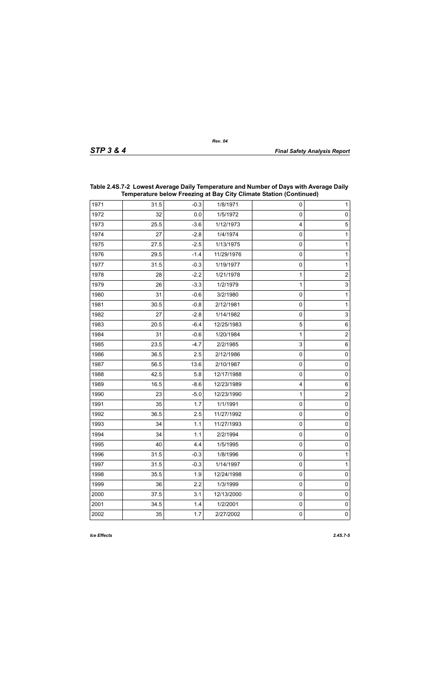| Temperature below Freezing at Bay City Climate Station (Continued) |      |        |            |           |                     |
|--------------------------------------------------------------------|------|--------|------------|-----------|---------------------|
| 1971                                                               | 31.5 | $-0.3$ | 1/8/1971   | 0         | 1                   |
| 1972                                                               | 32   | 0.0    | 1/5/1972   | $\pmb{0}$ | $\pmb{0}$           |
| 1973                                                               | 25.5 | $-3.6$ | 1/12/1973  | 4         | 5                   |
| 1974                                                               | 27   | $-2.8$ | 1/4/1974   | $\pmb{0}$ | $\mathbf{1}$        |
| 1975                                                               | 27.5 | $-2.5$ | 1/13/1975  | $\pmb{0}$ | 1                   |
| 1976                                                               | 29.5 | $-1.4$ | 11/29/1976 | $\pmb{0}$ | 1                   |
| 1977                                                               | 31.5 | $-0.3$ | 1/19/1977  | $\pmb{0}$ | 1                   |
| 1978                                                               | 28   | $-2.2$ | 1/21/1978  | 1         | $\overline{2}$      |
| 1979                                                               | 26   | $-3.3$ | 1/2/1979   | 1         | 3                   |
| 1980                                                               | 31   | $-0.6$ | 3/2/1980   | $\pmb{0}$ | $\mathbf{1}$        |
| 1981                                                               | 30.5 | $-0.8$ | 2/12/1981  | $\pmb{0}$ | 1                   |
| 1982                                                               | 27   | $-2.8$ | 1/14/1982  | $\pmb{0}$ | 3                   |
| 1983                                                               | 20.5 | $-6.4$ | 12/25/1983 | 5         | $\,6$               |
| 1984                                                               | 31   | $-0.6$ | 1/20/1984  | 1         | $\overline{2}$      |
| 1985                                                               | 23.5 | $-4.7$ | 2/2/1985   | 3         | $\,6$               |
| 1986                                                               | 36.5 | 2.5    | 2/12/1986  | $\pmb{0}$ | $\pmb{0}$           |
| 1987                                                               | 56.5 | 13.6   | 2/10/1987  | $\pmb{0}$ | $\pmb{0}$           |
| 1988                                                               | 42.5 | 5.8    | 12/17/1988 | $\pmb{0}$ | $\pmb{0}$           |
| 1989                                                               | 16.5 | $-8.6$ | 12/23/1989 | 4         | $\,6$               |
| 1990                                                               | 23   | $-5.0$ | 12/23/1990 | 1         | $\overline{2}$      |
| 1991                                                               | 35   | 1.7    | 1/1/1991   | $\pmb{0}$ | $\mathsf 0$         |
| 1992                                                               | 36.5 | 2.5    | 11/27/1992 | $\pmb{0}$ | $\pmb{0}$           |
| 1993                                                               | 34   | 1.1    | 11/27/1993 | $\pmb{0}$ | $\mathsf 0$         |
| 1994                                                               | 34   | 1.1    | 2/2/1994   | $\pmb{0}$ | $\mathsf{O}\xspace$ |
| 1995                                                               | 40   | 4.4    | 1/5/1995   | 0         | 0                   |
| 1996                                                               | 31.5 | $-0.3$ | 1/8/1996   | 0         | 1                   |
| 1997                                                               | 31.5 | $-0.3$ | 1/14/1997  | 0         | $\mathbf{1}$        |
| 1998                                                               | 35.5 | 1.9    | 12/24/1998 | 0         | $\mathsf{O}\xspace$ |
| 1999                                                               | 36   | 2.2    | 1/3/1999   | 0         | $\mathsf{O}\xspace$ |
| 2000                                                               | 37.5 | 3.1    | 12/13/2000 | 0         | $\pmb{0}$           |
| 2001                                                               | 34.5 | 1.4    | 1/2/2001   | 0         | $\mathsf{O}\xspace$ |
| 2002                                                               | 35   | 1.7    | 2/27/2002  | $\pmb{0}$ | $\mathsf{O}\xspace$ |

## **Table 2.4S.7-2 Lowest Average Daily Temperature and Number of Days with Average Daily Temperature below Freezing at Bay City Climate Station (Continued)**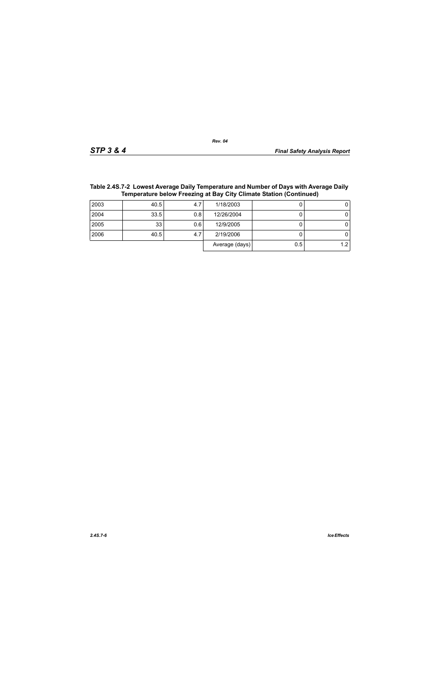Average  $(days)$  0.5 1.2

| <b>TANIVE IT ON A LOTTER FOR A VIOLAGE DUITY TURNS AND CONTRACT OF DUTY THINK AT VIOLAGE DUITY</b><br>Temperature below Freezing at Bay City Climate Station (Continued) |      |     |            |  |  |  |
|--------------------------------------------------------------------------------------------------------------------------------------------------------------------------|------|-----|------------|--|--|--|
| 2003                                                                                                                                                                     | 40.5 | 4.7 | 1/18/2003  |  |  |  |
| 2004                                                                                                                                                                     | 33.5 | 0.8 | 12/26/2004 |  |  |  |
| 2005                                                                                                                                                                     | 33   | 0.6 | 12/9/2005  |  |  |  |
| 2006                                                                                                                                                                     | 40.5 | 4.7 | 2/19/2006  |  |  |  |

# **Table 2.4S.7-2 Lowest Average Daily Temperature and Number of Days with Average Daily**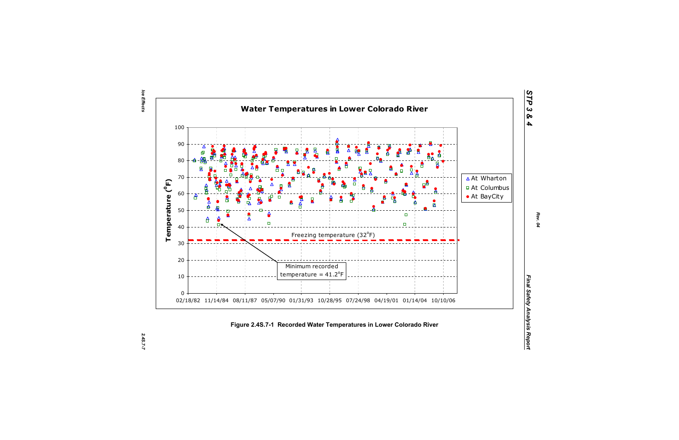Ice Effects *Ice Effects 2.4S.7-7*

2.45.7-7



*STP 3 & 4*